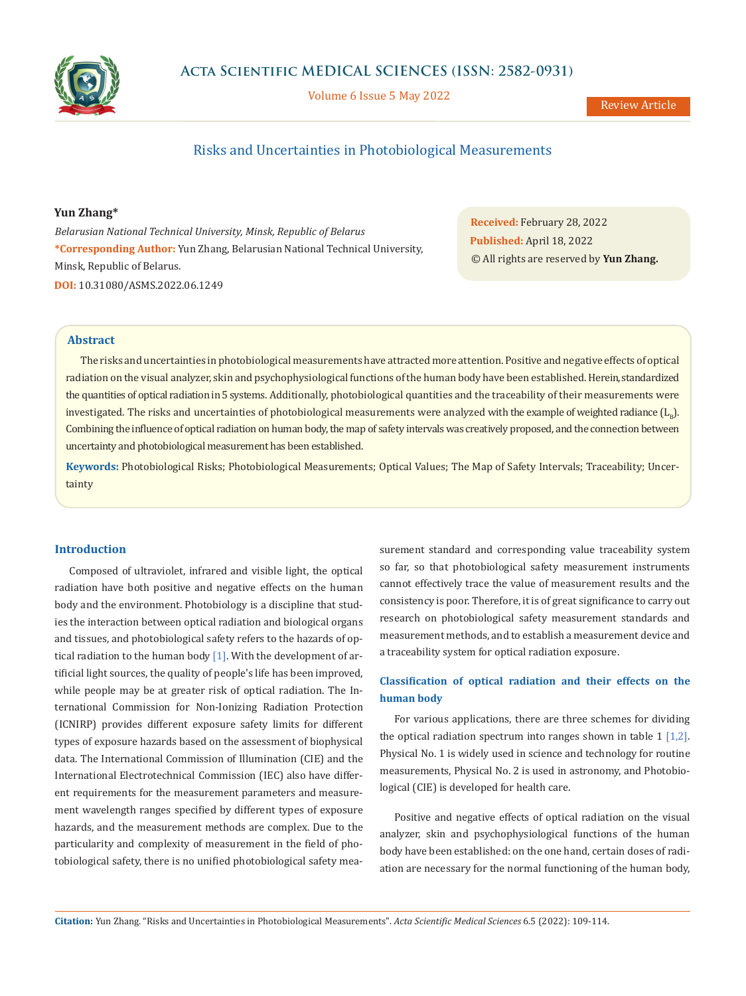

Volume 6 Issue 5 May 2022

# Risks and Uncertainties in Photobiological Measurements

## **Yun Zhang\***

*Belarusian National Technical University, Minsk, Republic of Belarus* **\*Corresponding Author:** Yun Zhang, Belarusian National Technical University, Minsk, Republic of Belarus. **DOI:** [10.31080/ASMS.2022.06.1249](https://actascientific.com/ASMS/pdf/ASMS-06-1249.pdf)

**Received:** February 28, 2022 **Published:** April 18, 2022 © All rights are reserved by **Yun Zhang.**

## **Abstract**

The risks and uncertainties in photobiological measurements have attracted more attention. Positive and negative effects of optical radiation on the visual analyzer, skin and psychophysiological functions of the human body have been established. Herein, standardized the quantities of optical radiation in 5 systems. Additionally, photobiological quantities and the traceability of their measurements were investigated. The risks and uncertainties of photobiological measurements were analyzed with the example of weighted radiance  $(L<sub>o</sub>)$ . Combining the influence of optical radiation on human body, the map of safety intervals was creatively proposed, and the connection between uncertainty and photobiological measurement has been established.

**Keywords:** Photobiological Risks; Photobiological Measurements; Optical Values; The Map of Safety Intervals; Traceability; Uncertainty

## **Introduction**

Composed of ultraviolet, infrared and visible light, the optical radiation have both positive and negative effects on the human body and the environment. Photobiology is a discipline that studies the interaction between optical radiation and biological organs and tissues, and photobiological safety refers to the hazards of optical radiation to the human body [1]. With the development of artificial light sources, the quality of people's life has been improved, while people may be at greater risk of optical radiation. The International Commission for Non-Ionizing Radiation Protection (ICNIRP) provides different exposure safety limits for different types of exposure hazards based on the assessment of biophysical data. The International Commission of Illumination (CIE) and the International Electrotechnical Commission (IEC) also have different requirements for the measurement parameters and measurement wavelength ranges specified by different types of exposure hazards, and the measurement methods are complex. Due to the particularity and complexity of measurement in the field of photobiological safety, there is no unified photobiological safety measurement standard and corresponding value traceability system so far, so that photobiological safety measurement instruments cannot effectively trace the value of measurement results and the consistency is poor. Therefore, it is of great significance to carry out research on photobiological safety measurement standards and measurement methods, and to establish a measurement device and a traceability system for optical radiation exposure.

## **Classification of optical radiation and their effects on the human body**

For various applications, there are three schemes for dividing the optical radiation spectrum into ranges shown in table  $1 \lfloor 1, 2 \rfloor$ . Physical No. 1 is widely used in science and technology for routine measurements, Physical No. 2 is used in astronomy, and Photobiological (CIE) is developed for health care.

Positive and negative effects of optical radiation on the visual analyzer, skin and psychophysiological functions of the human body have been established: on the one hand, certain doses of radiation are necessary for the normal functioning of the human body,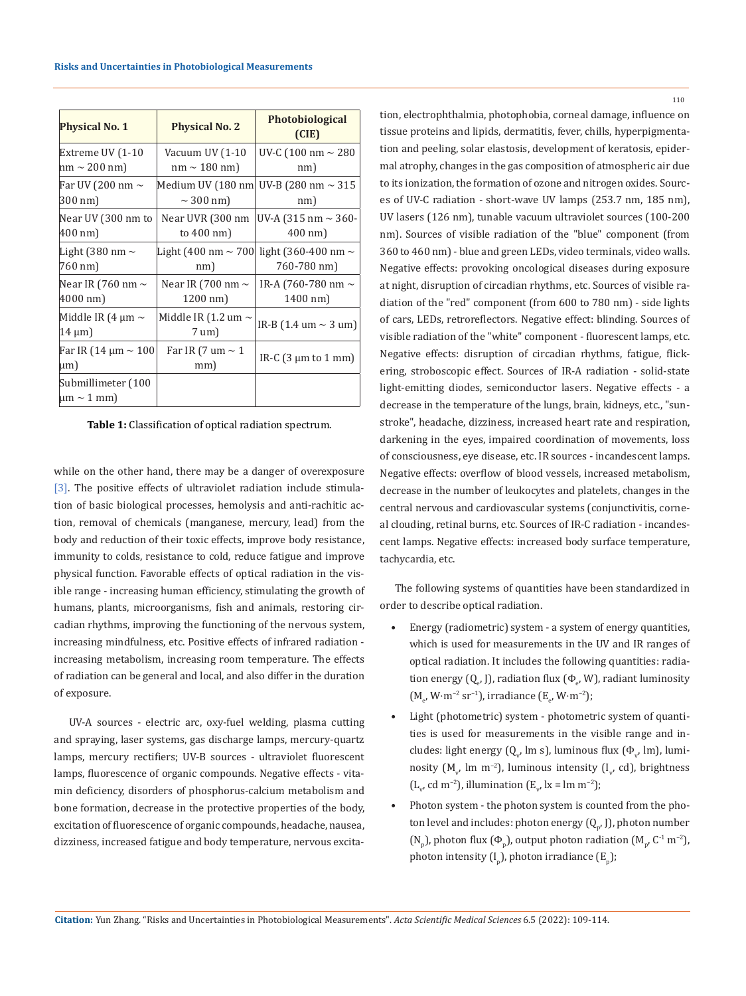| <b>Physical No. 1</b>                     | <b>Physical No. 2</b>                      | <b>Photobiological</b><br>(CIE)           |  |
|-------------------------------------------|--------------------------------------------|-------------------------------------------|--|
| Extreme UV (1-10                          | Vacuum UV (1-10                            | UV-C (100 nm $\sim$ 280                   |  |
| $nm \sim 200$ nm)                         | $nm \sim 180$ nm)                          | nm)                                       |  |
| Far UV (200 nm ~                          | Medium UV (180 nm)                         | UV-B (280 nm $\sim$ 315                   |  |
| 300 nm)                                   | $\sim$ 300 nm)                             | nm)                                       |  |
| Near UV (300 nm to                        | Near UVR (300 nm                           | UV-A $(315 \text{ nm} \sim 360 -$         |  |
| 400 nm)                                   | to $400 \text{ nm}$                        | $400 \text{ nm}$                          |  |
| Light (380 nm $\sim$                      | Light (400 nm $\sim$ 700                   | light (360-400 nm $\sim$                  |  |
| 760 nm)                                   | nm)                                        | 760-780 nm)                               |  |
| Near IR (760 nm $\sim$                    | Near IR (700 nm $\sim$                     | IR-A (760-780 nm $\sim$                   |  |
| 4000 nm)                                  | 1200 nm)                                   | 1400 nm)                                  |  |
| Middle IR (4 $\mu$ m $\sim$<br>$14 \mu m$ | Middle IR (1.2 um $\sim$<br>$7 \text{ um}$ | IR-B $(1.4 \text{ um} \sim 3 \text{ um})$ |  |
| Far IR (14 µm ∼ 100 <br>$\mu$ m)          | Far IR (7 um $\sim$ 1<br>mm)               | IR-C $(3 \mu m)$ to 1 mm                  |  |
| Submillimeter (100<br>$\mu$ m ~ 1 mm)     |                                            |                                           |  |

**Table 1:** Classification of optical radiation spectrum.

while on the other hand, there may be a danger of overexposure [3]. The positive effects of ultraviolet radiation include stimulation of basic biological processes, hemolysis and anti-rachitic action, removal of chemicals (manganese, mercury, lead) from the body and reduction of their toxic effects, improve body resistance, immunity to colds, resistance to cold, reduce fatigue and improve physical function. Favorable effects of optical radiation in the visible range - increasing human efficiency, stimulating the growth of humans, plants, microorganisms, fish and animals, restoring circadian rhythms, improving the functioning of the nervous system, increasing mindfulness, etc. Positive effects of infrared radiation increasing metabolism, increasing room temperature. The effects of radiation can be general and local, and also differ in the duration of exposure.

UV-A sources - electric arc, oxy-fuel welding, plasma cutting and spraying, laser systems, gas discharge lamps, mercury-quartz lamps, mercury rectifiers; UV-B sources - ultraviolet fluorescent lamps, fluorescence of organic compounds. Negative effects - vitamin deficiency, disorders of phosphorus-calcium metabolism and bone formation, decrease in the protective properties of the body, excitation of fluorescence of organic compounds, headache, nausea, dizziness, increased fatigue and body temperature, nervous excitation, electrophthalmia, photophobia, corneal damage, influence on tissue proteins and lipids, dermatitis, fever, chills, hyperpigmentation and peeling, solar elastosis, development of keratosis, epidermal atrophy, changes in the gas composition of atmospheric air due to its ionization, the formation of ozone and nitrogen oxides. Sources of UV-C radiation - short-wave UV lamps (253.7 nm, 185 nm), UV lasers (126 nm), tunable vacuum ultraviolet sources (100-200 nm). Sources of visible radiation of the "blue" component (from 360 to 460 nm) - blue and green LEDs, video terminals, video walls. Negative effects: provoking oncological diseases during exposure at night, disruption of circadian rhythms, etc. Sources of visible radiation of the "red" component (from 600 to 780 nm) - side lights of cars, LEDs, retroreflectors. Negative effect: blinding. Sources of visible radiation of the "white" component - fluorescent lamps, etc. Negative effects: disruption of circadian rhythms, fatigue, flickering, stroboscopic effect. Sources of IR-A radiation - solid-state light-emitting diodes, semiconductor lasers. Negative effects - a decrease in the temperature of the lungs, brain, kidneys, etc., "sunstroke", headache, dizziness, increased heart rate and respiration, darkening in the eyes, impaired coordination of movements, loss of consciousness, eye disease, etc. IR sources - incandescent lamps. Negative effects: overflow of blood vessels, increased metabolism, decrease in the number of leukocytes and platelets, changes in the central nervous and cardiovascular systems (conjunctivitis, corneal clouding, retinal burns, etc. Sources of IR-C radiation - incandescent lamps. Negative effects: increased body surface temperature, tachycardia, etc.

The following systems of quantities have been standardized in order to describe optical radiation.

- Energy (radiometric) system a system of energy quantities, which is used for measurements in the UV and IR ranges of optical radiation. It includes the following quantities: radiation energy (Q<sub>e</sub>, J), radiation flux (Φ<sub>e</sub>, W), radiant luminosity  $(M_e, W·m^{-2} sr^{-1})$ , irradiance  $(E_e, W·m^{-2})$ ;
- Light (photometric) system photometric system of quantities is used for measurements in the visible range and includes: light energy (Q<sub>v</sub>, lm s), luminous flux (Φ<sub>v</sub>, lm), luminosity ( $\text{M}_{\rm v}$ , lm m<sup>-2</sup>), luminous intensity (I<sub>v</sub>, cd), brightness  $(L_v, cd m^{-2})$ , illumination  $(E_v, lx = lm m^{-2})$ ;
- Photon system the photon system is counted from the photon level and includes: photon energy  $(Q_{p^{\prime}})$  ), photon number (N<sub>p</sub>), photon flux ( $\Phi_p$ ), output photon radiation (M<sub>p</sub>, C<sup>-1</sup> m<sup>-2</sup>), photon intensity (I<sub>p</sub>), photon irradiance (E<sub>p</sub>);

110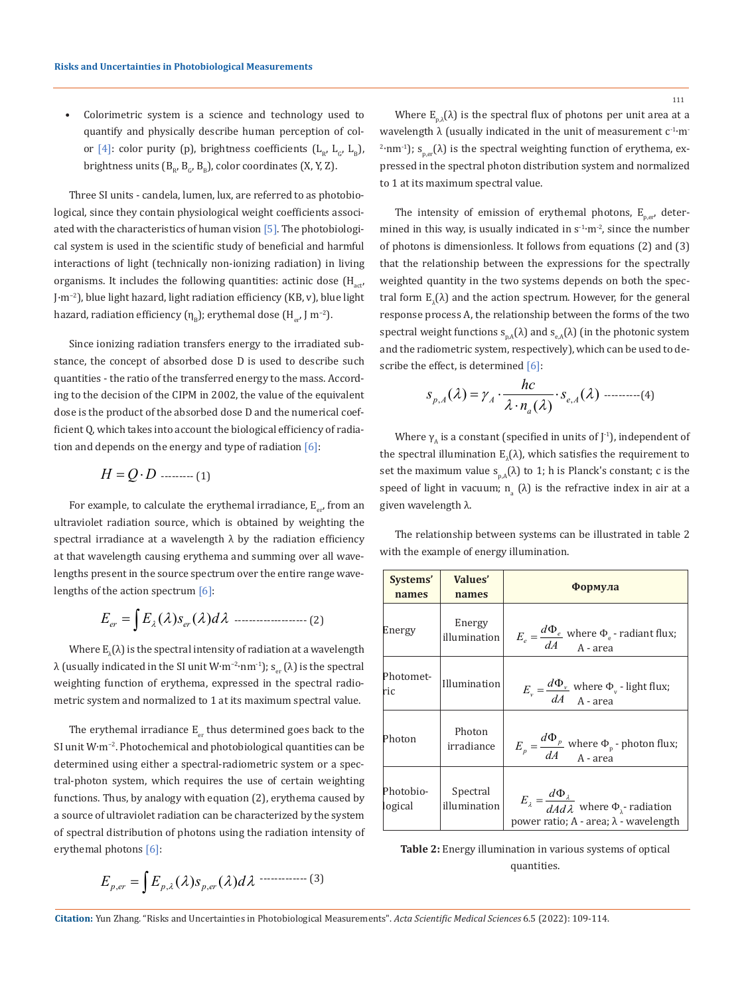• Colorimetric system is a science and technology used to quantify and physically describe human perception of color [4]: color purity (p), brightness coefficients ( $L_{R}$ ,  $L_{C}$ ,  $L_{R}$ ), brightness units  $(B_{R}, B_{C}, B_{R})$ , color coordinates (X, Y, Z).

Three SI units - candela, lumen, lux, are referred to as photobiological, since they contain physiological weight coefficients associated with the characteristics of human vision [5]. The photobiological system is used in the scientific study of beneficial and harmful interactions of light (technically non-ionizing radiation) in living organisms. It includes the following quantities: actinic dose  $(H_{\text{act}})$ J·m−2), blue light hazard, light radiation efficiency (KB, v), blue light hazard, radiation efficiency  $(\eta_{\rm B})$ ; erythemal dose  $(H_{\rm opt})$  m<sup>-2</sup>).

Since ionizing radiation transfers energy to the irradiated substance, the concept of absorbed dose D is used to describe such quantities - the ratio of the transferred energy to the mass. According to the decision of the CIPM in 2002, the value of the equivalent dose is the product of the absorbed dose D and the numerical coefficient Q, which takes into account the biological efficiency of radiation and depends on the energy and type of radiation  $[6]$ :

*H QD* = ⋅ --------- (1)

For example, to calculate the erythemal irradiance,  $E_{e,r}$  from an ultraviolet radiation source, which is obtained by weighting the spectral irradiance at a wavelength  $\lambda$  by the radiation efficiency at that wavelength causing erythema and summing over all wavelengths present in the source spectrum over the entire range wavelengths of the action spectrum  $[6]$ :

$$
E_{er} = \int E_{\lambda}(\lambda) s_{er}(\lambda) d\lambda \quad \dots \quad (2)
$$

Where  $\text{E}_{\lambda}(\lambda)$  is the spectral intensity of radiation at a wavelength λ (usually indicated in the SI unit W⋅m<sup>-2</sup>⋅nm<sup>-1</sup>); s<sub>er</sub> (λ) is the spectral weighting function of erythema, expressed in the spectral radiometric system and normalized to 1 at its maximum spectral value.

The erythemal irradiance  $E_{er}$  thus determined goes back to the SI unit W∙m−2. Photochemical and photobiological quantities can be determined using either a spectral-radiometric system or a spectral-photon system, which requires the use of certain weighting functions. Thus, by analogy with equation (2), erythema caused by a source of ultraviolet radiation can be characterized by the system of spectral distribution of photons using the radiation intensity of erythemal photons [6]:

$$
E_{p,er} = \int E_{p,\lambda}(\lambda) s_{p,er}(\lambda) d\lambda \cdots (3)
$$

Where  $E_{p,\lambda}(\lambda)$  is the spectral flux of photons per unit area at a wavelength  $\lambda$  (usually indicated in the unit of measurement  $c^{-1}$ ·m<sup>-</sup>  $e^{2}$ ·nm<sup>-1</sup>); s<sub>p,er</sub>(λ) is the spectral weighting function of erythema, expressed in the spectral photon distribution system and normalized to 1 at its maximum spectral value.

The intensity of emission of erythemal photons,  $E_{per}$ , determined in this way, is usually indicated in s<sup>-1</sup>⋅m<sup>-2</sup>, since the number of photons is dimensionless. It follows from equations (2) and (3) that the relationship between the expressions for the spectrally weighted quantity in the two systems depends on both the spectral form  $E_{\lambda}(\lambda)$  and the action spectrum. However, for the general response process A, the relationship between the forms of the two spectral weight functions  $s_{nA}(\lambda)$  and  $s_{eA}(\lambda)$  (in the photonic system and the radiometric system, respectively), which can be used to describe the effect, is determined [6]:

$$
S_{p,A}(\lambda) = \gamma_A \cdot \frac{hc}{\lambda \cdot n_a(\lambda)} \cdot S_{e,A}(\lambda) \dots \dots \dots \dots (4)
$$

Where  $\gamma_A$  is a constant (specified in units of J<sup>-1</sup>), independent of the spectral illumination  $\text{E}_{\lambda}(\lambda)$ , which satisfies the requirement to set the maximum value  $s_{p,A}(\lambda)$  to 1; h is Planck's constant; c is the speed of light in vacuum;  $n_{a}$  ( $\lambda$ ) is the refractive index in air at a given wavelength λ.

The relationship between systems can be illustrated in table 2 with the example of energy illumination.

| Systems'<br>names    | Values'<br>names         | Формула                                                                                                                         |
|----------------------|--------------------------|---------------------------------------------------------------------------------------------------------------------------------|
| Energy               | Energy<br>illumination   | $E_e = \frac{d\Phi_e}{dA}$ where $\Phi_e$ - radiant flux;<br>A - area                                                           |
| Photomet-<br>ric     | Illumination             | $E_v = \frac{d\Phi_v}{dA}$ where $\Phi_v$ - light flux;                                                                         |
| Photon               | Photon<br>irradiance     | $E_p = \frac{d\Phi_p}{dA}$ where $\Phi_p$ - photon flux;<br>A - area                                                            |
| Photobio-<br>logical | Spectral<br>illumination | $E_{\lambda} = \frac{d\Phi_{\lambda}}{dA d\lambda}$ where $\Phi_{\lambda}$ - radiation<br>power ratio; A - area; λ - wavelength |

**Table 2:** Energy illumination in various systems of optical quantities.

**Citation:** Yun Zhang*.* "Risks and Uncertainties in Photobiological Measurements". *Acta Scientific Medical Sciences* 6.5 (2022): 109-114.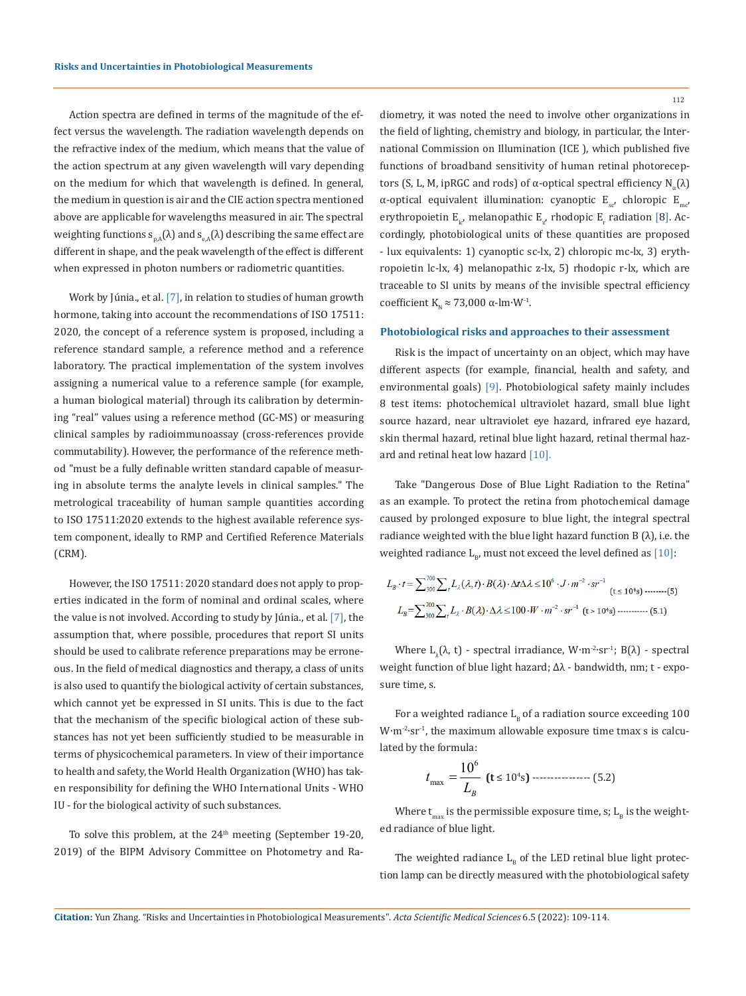Action spectra are defined in terms of the magnitude of the effect versus the wavelength. The radiation wavelength depends on the refractive index of the medium, which means that the value of the action spectrum at any given wavelength will vary depending on the medium for which that wavelength is defined. In general, the medium in question is air and the CIE action spectra mentioned above are applicable for wavelengths measured in air. The spectral weighting functions  $s_{n_A}(\lambda)$  and  $s_{n_A}(\lambda)$  describing the same effect are different in shape, and the peak wavelength of the effect is different when expressed in photon numbers or radiometric quantities.

Work by Júnia., et al. [7], in relation to studies of human growth hormone, taking into account the recommendations of ISO 17511: 2020, the concept of a reference system is proposed, including a reference standard sample, a reference method and a reference laboratory. The practical implementation of the system involves assigning a numerical value to a reference sample (for example, a human biological material) through its calibration by determining "real" values using a reference method (GC-MS) or measuring clinical samples by radioimmunoassay (cross-references provide commutability). However, the performance of the reference method "must be a fully definable written standard capable of measuring in absolute terms the analyte levels in clinical samples." The metrological traceability of human sample quantities according to ISO 17511:2020 extends to the highest available reference system component, ideally to RMP and Certified Reference Materials (CRM).

However, the ISO 17511: 2020 standard does not apply to properties indicated in the form of nominal and ordinal scales, where the value is not involved. According to study by Júnia., et al. [7], the assumption that, where possible, procedures that report SI units should be used to calibrate reference preparations may be erroneous. In the field of medical diagnostics and therapy, a class of units is also used to quantify the biological activity of certain substances, which cannot yet be expressed in SI units. This is due to the fact that the mechanism of the specific biological action of these substances has not yet been sufficiently studied to be measurable in terms of physicochemical parameters. In view of their importance to health and safety, the World Health Organization (WHO) has taken responsibility for defining the WHO International Units - WHO IU - for the biological activity of such substances.

To solve this problem, at the 24<sup>th</sup> meeting (September 19-20, 2019) of the BIPM Advisory Committee on Photometry and Radiometry, it was noted the need to involve other organizations in the field of lighting, chemistry and biology, in particular, the International Commission on Illumination (ICE ), which published five functions of broadband sensitivity of human retinal photoreceptors (S, L, M, ipRGC and rods) of α-optical spectral efficiency  $N_a(λ)$ α-optical equivalent illumination: cyanoptic  $E_{s}$ , chloropic  $E_{m}$ erythropoietin  $E_{l c'}$  melanopathic  $E_{z'}$  rhodopic  $E_{r}$  radiation [8]. Accordingly, photobiological units of these quantities are proposed - lux equivalents: 1) cyanoptic sc-lx, 2) chloropic mc-lx, 3) erythropoietin lc-lx, 4) melanopathic z-lx, 5) rhodopic r-lx, which are traceable to SI units by means of the invisible spectral efficiency coefficient K<sub>N</sub> ≈ 73,000 α-lm⋅W<sup>-1</sup>.

#### **Photobiological risks and approaches to their assessment**

Risk is the impact of uncertainty on an object, which may have different aspects (for example, financial, health and safety, and environmental goals) [9]. Photobiological safety mainly includes 8 test items: photochemical ultraviolet hazard, small blue light source hazard, near ultraviolet eye hazard, infrared eye hazard, skin thermal hazard, retinal blue light hazard, retinal thermal hazard and retinal heat low hazard [10].

Take "Dangerous Dose of Blue Light Radiation to the Retina" as an example. To protect the retina from photochemical damage caused by prolonged exposure to blue light, the integral spectral radiance weighted with the blue light hazard function B  $(\lambda)$ , i.e. the weighted radiance  $L_{B}$ , must not exceed the level defined as [10]:

$$
L_B \cdot t = \sum_{300}^{700} \sum_i L_\lambda(\lambda, t) \cdot B(\lambda) \cdot \Delta t \Delta \lambda \le 10^6 \cdot J \cdot m^{-2} \cdot sr^{-1}
$$
 (t \le 10<sup>4</sup>s) .........(5)  

$$
L_B = \sum_{300}^{700} \sum_i L_\lambda \cdot B(\lambda) \cdot \Delta \lambda \le 100 \cdot W \cdot m^{-2} \cdot sr^{-1}
$$
 (t > 10<sup>4</sup>s) ......... (5.1)

Where  $\text{L}_{\lambda}(\lambda, \text{ t})$  - spectral irradiance, W∙m<sup>-2</sup>∙sr<sup>-1</sup>; B( $\lambda$ ) - spectral weight function of blue light hazard; Δλ - bandwidth, nm; t - exposure time, s.

For a weighted radiance  $L_B$  of a radiation source exceeding 100 W∙m-2∙sr-1, the maximum allowable exposure time tmax s is calculated by the formula:

6 10 max *B t <sup>L</sup>* <sup>=</sup> **(t** ≤ 10<sup>4</sup> s**)** ---------------- (5.2)

Where  $t_{\text{max}}$  is the permissible exposure time, s;  $L_{\text{B}}$  is the weighted radiance of blue light.

The weighted radiance  $L<sub>p</sub>$  of the LED retinal blue light protection lamp can be directly measured with the photobiological safety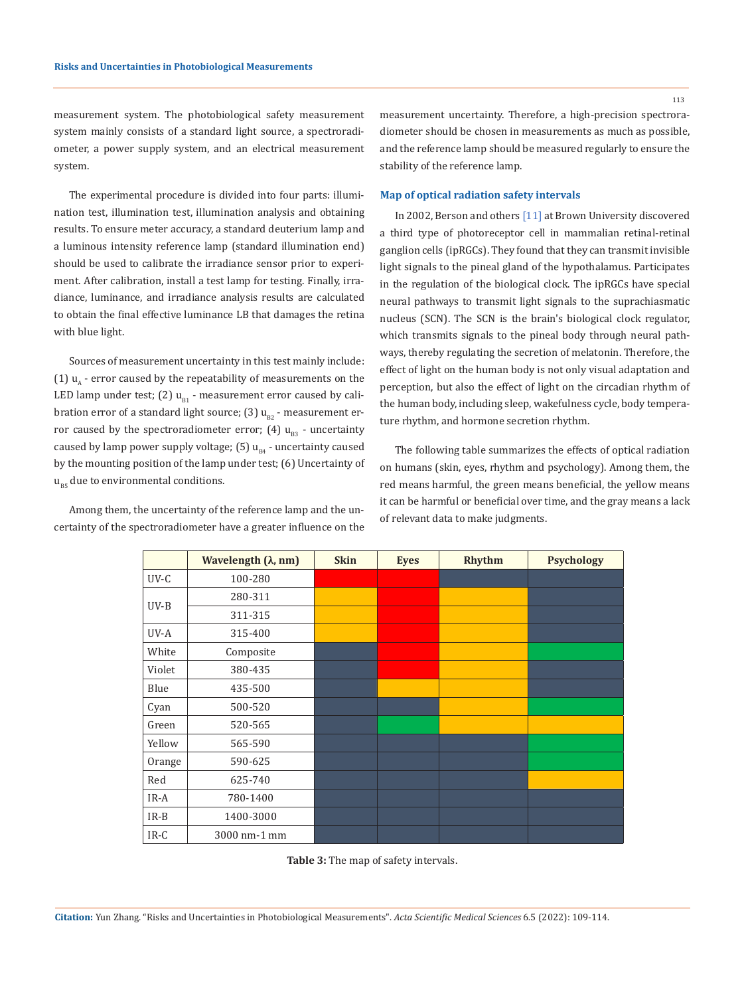113

measurement system. The photobiological safety measurement system mainly consists of a standard light source, a spectroradiometer, a power supply system, and an electrical measurement system.

The experimental procedure is divided into four parts: illumination test, illumination test, illumination analysis and obtaining results. To ensure meter accuracy, a standard deuterium lamp and a luminous intensity reference lamp (standard illumination end) should be used to calibrate the irradiance sensor prior to experiment. After calibration, install a test lamp for testing. Finally, irradiance, luminance, and irradiance analysis results are calculated to obtain the final effective luminance LB that damages the retina with blue light.

Sources of measurement uncertainty in this test mainly include: (1)  $u_{\lambda}$  - error caused by the repeatability of measurements on the LED lamp under test; (2)  $u_{B1}$  - measurement error caused by calibration error of a standard light source; (3)  $u_{B2}$  - measurement error caused by the spectroradiometer error; (4)  $u_{B3}$  - uncertainty caused by lamp power supply voltage;  $(5)$  u<sub>R4</sub> - uncertainty caused by the mounting position of the lamp under test; (6) Uncertainty of  $u_{BS}$  due to environmental conditions.

Among them, the uncertainty of the reference lamp and the uncertainty of the spectroradiometer have a greater influence on the measurement uncertainty. Therefore, a high-precision spectroradiometer should be chosen in measurements as much as possible, and the reference lamp should be measured regularly to ensure the stability of the reference lamp.

### **Map of optical radiation safety intervals**

In 2002, Berson and others [11] at Brown University discovered a third type of photoreceptor cell in mammalian retinal-retinal ganglion cells (ipRGCs). They found that they can transmit invisible light signals to the pineal gland of the hypothalamus. Participates in the regulation of the biological clock. The ipRGCs have special neural pathways to transmit light signals to the suprachiasmatic nucleus (SCN). The SCN is the brain's biological clock regulator, which transmits signals to the pineal body through neural pathways, thereby regulating the secretion of melatonin. Therefore, the effect of light on the human body is not only visual adaptation and perception, but also the effect of light on the circadian rhythm of the human body, including sleep, wakefulness cycle, body temperature rhythm, and hormone secretion rhythm.

The following table summarizes the effects of optical radiation on humans (skin, eyes, rhythm and psychology). Among them, the red means harmful, the green means beneficial, the yellow means it can be harmful or beneficial over time, and the gray means a lack of relevant data to make judgments.

|        | Wavelength $(\lambda, nm)$ | <b>Skin</b> | <b>Eyes</b> | Rhythm | <b>Psychology</b> |
|--------|----------------------------|-------------|-------------|--------|-------------------|
| UV-C   | 100-280                    |             |             |        |                   |
| $UV-B$ | 280-311                    |             |             |        |                   |
|        | 311-315                    |             |             |        |                   |
| UV-A   | 315-400                    |             |             |        |                   |
| White  | Composite                  |             |             |        |                   |
| Violet | 380-435                    |             |             |        |                   |
| Blue   | 435-500                    |             |             |        |                   |
| Cyan   | 500-520                    |             |             |        |                   |
| Green  | 520-565                    |             |             |        |                   |
| Yellow | 565-590                    |             |             |        |                   |
| Orange | 590-625                    |             |             |        |                   |
| Red    | 625-740                    |             |             |        |                   |
| $IR-A$ | 780-1400                   |             |             |        |                   |
| $IR-B$ | 1400-3000                  |             |             |        |                   |
| IR-C   | 3000 nm-1 mm               |             |             |        |                   |

**Table 3:** The map of safety intervals.